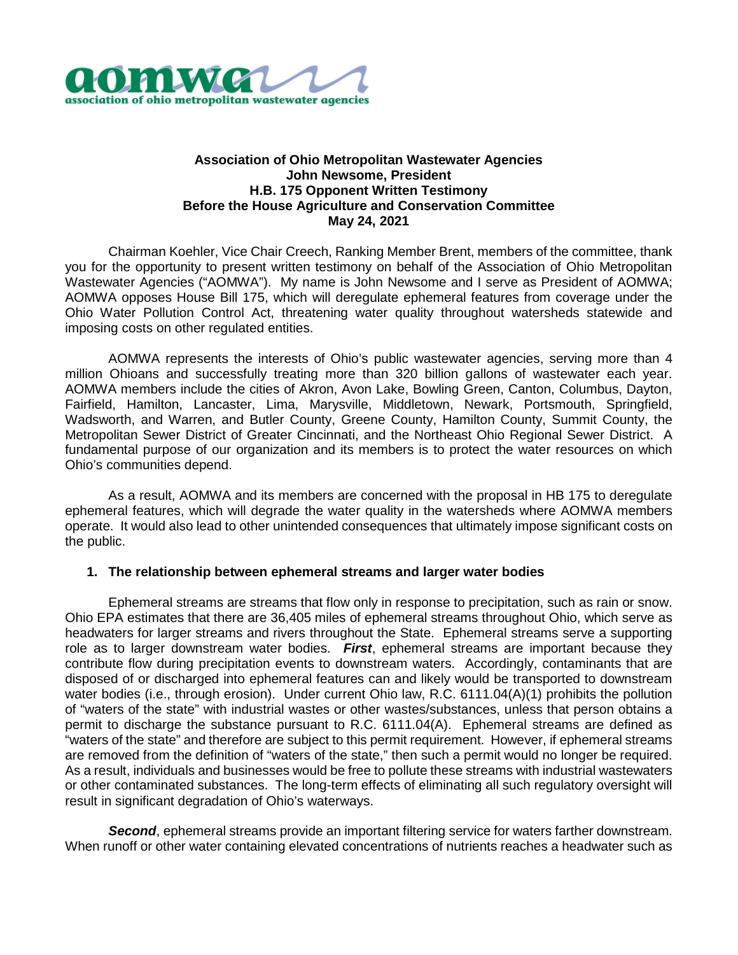

## **Association of Ohio Metropolitan Wastewater Agencies John Newsome, President H.B. 175 Opponent Written Testimony Before the House Agriculture and Conservation Committee May 24, 2021**

Chairman Koehler, Vice Chair Creech, Ranking Member Brent, members of the committee, thank you for the opportunity to present written testimony on behalf of the Association of Ohio Metropolitan Wastewater Agencies ("AOMWA"). My name is John Newsome and I serve as President of AOMWA; AOMWA opposes House Bill 175, which will deregulate ephemeral features from coverage under the Ohio Water Pollution Control Act, threatening water quality throughout watersheds statewide and imposing costs on other regulated entities.

AOMWA represents the interests of Ohio's public wastewater agencies, serving more than 4 million Ohioans and successfully treating more than 320 billion gallons of wastewater each year. AOMWA members include the cities of Akron, Avon Lake, Bowling Green, Canton, Columbus, Dayton, Fairfield, Hamilton, Lancaster, Lima, Marysville, Middletown, Newark, Portsmouth, Springfield, Wadsworth, and Warren, and Butler County, Greene County, Hamilton County, Summit County, the Metropolitan Sewer District of Greater Cincinnati, and the Northeast Ohio Regional Sewer District. A fundamental purpose of our organization and its members is to protect the water resources on which Ohio's communities depend.

As a result, AOMWA and its members are concerned with the proposal in HB 175 to deregulate ephemeral features, which will degrade the water quality in the watersheds where AOMWA members operate. It would also lead to other unintended consequences that ultimately impose significant costs on the public.

## **1. The relationship between ephemeral streams and larger water bodies**

Ephemeral streams are streams that flow only in response to precipitation, such as rain or snow. Ohio EPA estimates that there are 36,405 miles of ephemeral streams throughout Ohio, which serve as headwaters for larger streams and rivers throughout the State. Ephemeral streams serve a supporting role as to larger downstream water bodies. *First*, ephemeral streams are important because they contribute flow during precipitation events to downstream waters. Accordingly, contaminants that are disposed of or discharged into ephemeral features can and likely would be transported to downstream water bodies (i.e., through erosion). Under current Ohio law, R.C. 6111.04(A)(1) prohibits the pollution of "waters of the state" with industrial wastes or other wastes/substances, unless that person obtains a permit to discharge the substance pursuant to R.C. 6111.04(A). Ephemeral streams are defined as "waters of the state" and therefore are subject to this permit requirement. However, if ephemeral streams are removed from the definition of "waters of the state," then such a permit would no longer be required. As a result, individuals and businesses would be free to pollute these streams with industrial wastewaters or other contaminated substances. The long-term effects of eliminating all such regulatory oversight will result in significant degradation of Ohio's waterways.

*Second*, ephemeral streams provide an important filtering service for waters farther downstream. When runoff or other water containing elevated concentrations of nutrients reaches a headwater such as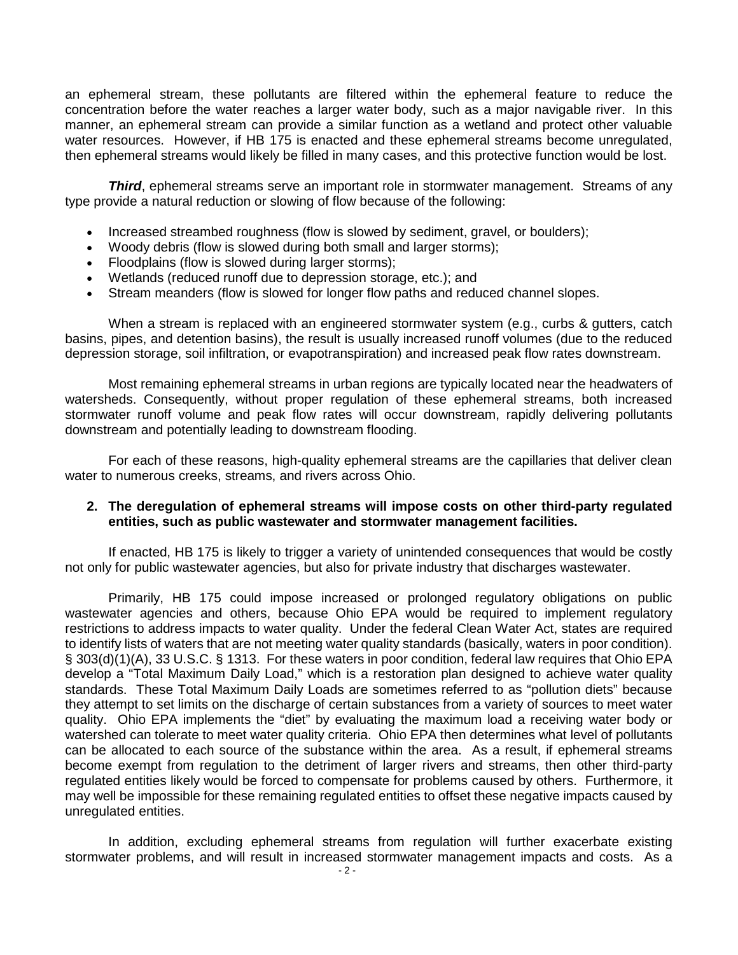an ephemeral stream, these pollutants are filtered within the ephemeral feature to reduce the concentration before the water reaches a larger water body, such as a major navigable river. In this manner, an ephemeral stream can provide a similar function as a wetland and protect other valuable water resources. However, if HB 175 is enacted and these ephemeral streams become unregulated, then ephemeral streams would likely be filled in many cases, and this protective function would be lost.

*Third*, ephemeral streams serve an important role in stormwater management. Streams of any type provide a natural reduction or slowing of flow because of the following:

- Increased streambed roughness (flow is slowed by sediment, gravel, or boulders);
- Woody debris (flow is slowed during both small and larger storms);
- Floodplains (flow is slowed during larger storms);
- Wetlands (reduced runoff due to depression storage, etc.); and
- Stream meanders (flow is slowed for longer flow paths and reduced channel slopes.

When a stream is replaced with an engineered stormwater system (e.g., curbs & gutters, catch basins, pipes, and detention basins), the result is usually increased runoff volumes (due to the reduced depression storage, soil infiltration, or evapotranspiration) and increased peak flow rates downstream.

Most remaining ephemeral streams in urban regions are typically located near the headwaters of watersheds. Consequently, without proper regulation of these ephemeral streams, both increased stormwater runoff volume and peak flow rates will occur downstream, rapidly delivering pollutants downstream and potentially leading to downstream flooding.

For each of these reasons, high-quality ephemeral streams are the capillaries that deliver clean water to numerous creeks, streams, and rivers across Ohio.

## **2. The deregulation of ephemeral streams will impose costs on other third-party regulated entities, such as public wastewater and stormwater management facilities.**

If enacted, HB 175 is likely to trigger a variety of unintended consequences that would be costly not only for public wastewater agencies, but also for private industry that discharges wastewater.

Primarily, HB 175 could impose increased or prolonged regulatory obligations on public wastewater agencies and others, because Ohio EPA would be required to implement regulatory restrictions to address impacts to water quality. Under the federal Clean Water Act, states are required to identify lists of waters that are not meeting water quality standards (basically, waters in poor condition). § 303(d)(1)(A), 33 U.S.C. § 1313. For these waters in poor condition, federal law requires that Ohio EPA develop a "Total Maximum Daily Load," which is a restoration plan designed to achieve water quality standards. These Total Maximum Daily Loads are sometimes referred to as "pollution diets" because they attempt to set limits on the discharge of certain substances from a variety of sources to meet water quality. Ohio EPA implements the "diet" by evaluating the maximum load a receiving water body or watershed can tolerate to meet water quality criteria. Ohio EPA then determines what level of pollutants can be allocated to each source of the substance within the area. As a result, if ephemeral streams become exempt from regulation to the detriment of larger rivers and streams, then other third-party regulated entities likely would be forced to compensate for problems caused by others. Furthermore, it may well be impossible for these remaining regulated entities to offset these negative impacts caused by unregulated entities.

In addition, excluding ephemeral streams from regulation will further exacerbate existing stormwater problems, and will result in increased stormwater management impacts and costs. As a